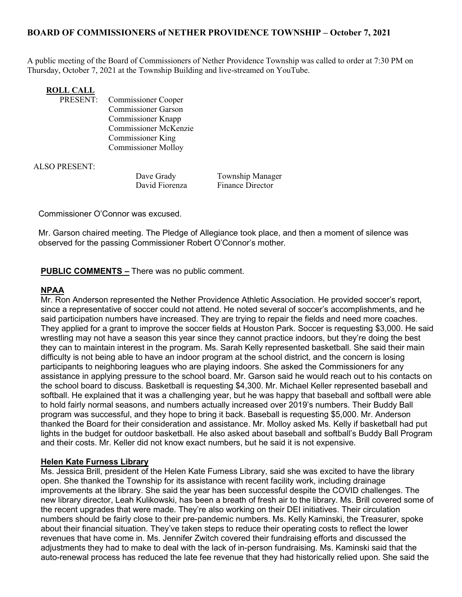# BOARD OF COMMISSIONERS of NETHER PROVIDENCE TOWNSHIP – October 7, 2021

A public meeting of the Board of Commissioners of Nether Providence Township was called to order at 7:30 PM on Thursday, October 7, 2021 at the Township Building and live-streamed on YouTube.

# **ROLL CALL<br>PRESENT:**

Commissioner Cooper Commissioner Garson Commissioner Knapp Commissioner McKenzie Commissioner King Commissioner Molloy

ALSO PRESENT:

Dave Grady Township Manager David Fiorenza Finance Director

Commissioner O'Connor was excused.

Mr. Garson chaired meeting. The Pledge of Allegiance took place, and then a moment of silence was observed for the passing Commissioner Robert O'Connor's mother.

PUBLIC COMMENTS – There was no public comment.

## NPAA

Mr. Ron Anderson represented the Nether Providence Athletic Association. He provided soccer's report, since a representative of soccer could not attend. He noted several of soccer's accomplishments, and he said participation numbers have increased. They are trying to repair the fields and need more coaches. They applied for a grant to improve the soccer fields at Houston Park. Soccer is requesting \$3,000. He said wrestling may not have a season this year since they cannot practice indoors, but they're doing the best they can to maintain interest in the program. Ms. Sarah Kelly represented basketball. She said their main difficulty is not being able to have an indoor program at the school district, and the concern is losing participants to neighboring leagues who are playing indoors. She asked the Commissioners for any assistance in applying pressure to the school board. Mr. Garson said he would reach out to his contacts on the school board to discuss. Basketball is requesting \$4,300. Mr. Michael Keller represented baseball and softball. He explained that it was a challenging year, but he was happy that baseball and softball were able to hold fairly normal seasons, and numbers actually increased over 2019's numbers. Their Buddy Ball program was successful, and they hope to bring it back. Baseball is requesting \$5,000. Mr. Anderson thanked the Board for their consideration and assistance. Mr. Molloy asked Ms. Kelly if basketball had put lights in the budget for outdoor basketball. He also asked about baseball and softball's Buddy Ball Program and their costs. Mr. Keller did not know exact numbers, but he said it is not expensive.

## Helen Kate Furness Library

Ms. Jessica Brill, president of the Helen Kate Furness Library, said she was excited to have the library open. She thanked the Township for its assistance with recent facility work, including drainage improvements at the library. She said the year has been successful despite the COVID challenges. The new library director, Leah Kulikowski, has been a breath of fresh air to the library. Ms. Brill covered some of the recent upgrades that were made. They're also working on their DEI initiatives. Their circulation numbers should be fairly close to their pre-pandemic numbers. Ms. Kelly Kaminski, the Treasurer, spoke about their financial situation. They've taken steps to reduce their operating costs to reflect the lower revenues that have come in. Ms. Jennifer Zwitch covered their fundraising efforts and discussed the adjustments they had to make to deal with the lack of in-person fundraising. Ms. Kaminski said that the auto-renewal process has reduced the late fee revenue that they had historically relied upon. She said the